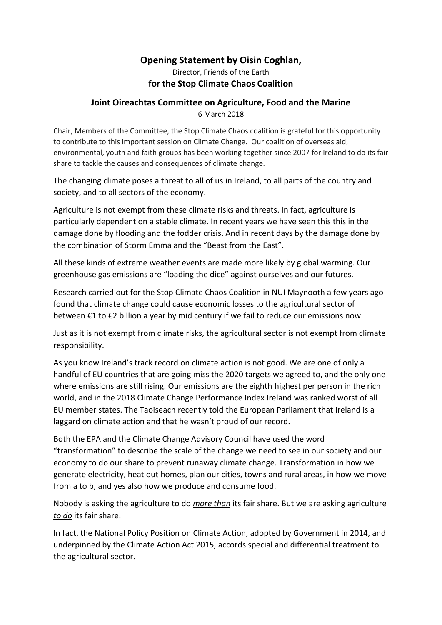## **Opening Statement by Oisin Coghlan,**

Director, Friends of the Earth **for the Stop Climate Chaos Coalition**

## **Joint Oireachtas Committee on Agriculture, Food and the Marine** 6 March 2018

Chair, Members of the Committee, the Stop Climate Chaos coalition is grateful for this opportunity to contribute to this important session on Climate Change. Our coalition of overseas aid, environmental, youth and faith groups has been working together since 2007 for Ireland to do its fair share to tackle the causes and consequences of climate change.

The changing climate poses a threat to all of us in Ireland, to all parts of the country and society, and to all sectors of the economy.

Agriculture is not exempt from these climate risks and threats. In fact, agriculture is particularly dependent on a stable climate. In recent years we have seen this this in the damage done by flooding and the fodder crisis. And in recent days by the damage done by the combination of Storm Emma and the "Beast from the East".

All these kinds of extreme weather events are made more likely by global warming. Our greenhouse gas emissions are "loading the dice" against ourselves and our futures.

Research carried out for the Stop Climate Chaos Coalition in NUI Maynooth a few years ago found that climate change could cause economic losses to the agricultural sector of between €1 to €2 billion a year by mid century if we fail to reduce our emissions now.

Just as it is not exempt from climate risks, the agricultural sector is not exempt from climate responsibility.

As you know Ireland's track record on climate action is not good. We are one of only a handful of EU countries that are going miss the 2020 targets we agreed to, and the only one where emissions are still rising. Our emissions are the eighth highest per person in the rich world, and in the 2018 Climate Change Performance Index Ireland was ranked worst of all EU member states. The Taoiseach recently told the European Parliament that Ireland is a laggard on climate action and that he wasn't proud of our record.

Both the EPA and the Climate Change Advisory Council have used the word "transformation" to describe the scale of the change we need to see in our society and our economy to do our share to prevent runaway climate change. Transformation in how we generate electricity, heat out homes, plan our cities, towns and rural areas, in how we move from a to b, and yes also how we produce and consume food.

Nobody is asking the agriculture to do *more than* its fair share. But we are asking agriculture *to do* its fair share.

In fact, the National Policy Position on Climate Action, adopted by Government in 2014, and underpinned by the Climate Action Act 2015, accords special and differential treatment to the agricultural sector.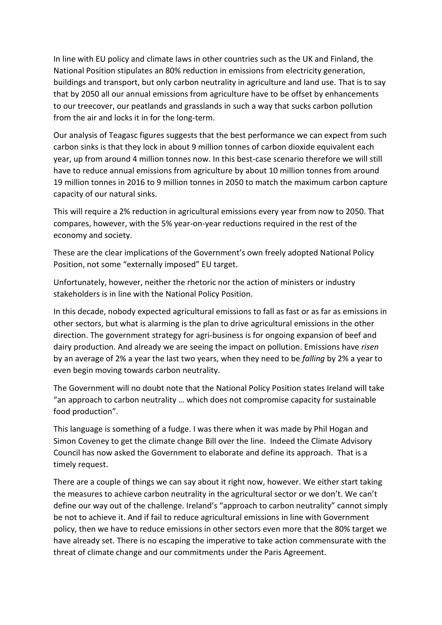In line with EU policy and climate laws in other countries such as the UK and Finland, the National Position stipulates an 80% reduction in emissions from electricity generation, buildings and transport, but only carbon neutrality in agriculture and land use. That is to say that by 2050 all our annual emissions from agriculture have to be offset by enhancements to our treecover, our peatlands and grasslands in such a way that sucks carbon pollution from the air and locks it in for the long-term.

Our analysis of Teagasc figures suggests that the best performance we can expect from such carbon sinks is that they lock in about 9 million tonnes of carbon dioxide equivalent each year, up from around 4 million tonnes now. In this best-case scenario therefore we will still have to reduce annual emissions from agriculture by about 10 million tonnes from around 19 million tonnes in 2016 to 9 million tonnes in 2050 to match the maximum carbon capture capacity of our natural sinks.

This will require a 2% reduction in agricultural emissions every year from now to 2050. That compares, however, with the 5% year-on-year reductions required in the rest of the economy and society.

These are the clear implications of the Government's own freely adopted National Policy Position, not some "externally imposed" EU target.

Unfortunately, however, neither the rhetoric nor the action of ministers or industry stakeholders is in line with the National Policy Position.

In this decade, nobody expected agricultural emissions to fall as fast or as far as emissions in other sectors, but what is alarming is the plan to drive agricultural emissions in the other direction. The government strategy for agri-business is for ongoing expansion of beef and dairy production. And already we are seeing the impact on pollution. Emissions have *risen* by an average of 2% a year the last two years, when they need to be *falling* by 2% a year to even begin moving towards carbon neutrality.

The Government will no doubt note that the National Policy Position states Ireland will take "an approach to carbon neutrality … which does not compromise capacity for sustainable food production".

This language is something of a fudge. I was there when it was made by Phil Hogan and Simon Coveney to get the climate change Bill over the line. Indeed the Climate Advisory Council has now asked the Government to elaborate and define its approach. That is a timely request.

There are a couple of things we can say about it right now, however. We either start taking the measures to achieve carbon neutrality in the agricultural sector or we don't. We can't define our way out of the challenge. Ireland's "approach to carbon neutrality" cannot simply be not to achieve it. And if fail to reduce agricultural emissions in line with Government policy, then we have to reduce emissions in other sectors even more that the 80% target we have already set. There is no escaping the imperative to take action commensurate with the threat of climate change and our commitments under the Paris Agreement.